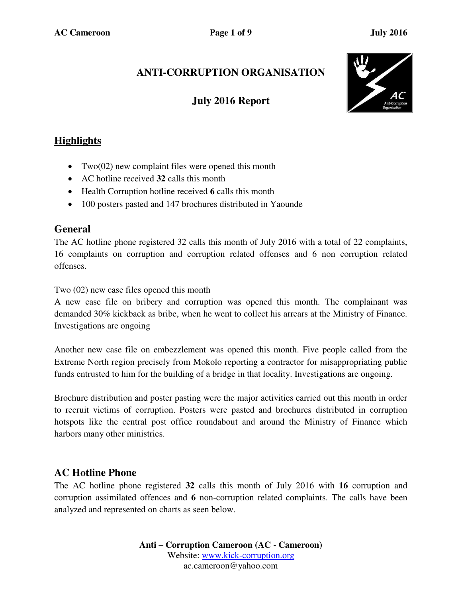# **ANTI-CORRUPTION ORGANISATION**

# **July 2016 Report**



## **Highlights**

- Two(02) new complaint files were opened this month
- AC hotline received **32** calls this month
- Health Corruption hotline received **6** calls this month
- 100 posters pasted and 147 brochures distributed in Yaounde

#### **General**

The AC hotline phone registered 32 calls this month of July 2016 with a total of 22 complaints, 16 complaints on corruption and corruption related offenses and 6 non corruption related offenses.

Two (02) new case files opened this month

A new case file on bribery and corruption was opened this month. The complainant was demanded 30% kickback as bribe, when he went to collect his arrears at the Ministry of Finance. Investigations are ongoing

Another new case file on embezzlement was opened this month. Five people called from the Extreme North region precisely from Mokolo reporting a contractor for misappropriating public funds entrusted to him for the building of a bridge in that locality. Investigations are ongoing.

Brochure distribution and poster pasting were the major activities carried out this month in order to recruit victims of corruption. Posters were pasted and brochures distributed in corruption hotspots like the central post office roundabout and around the Ministry of Finance which harbors many other ministries.

## **AC Hotline Phone**

The AC hotline phone registered **32** calls this month of July 2016 with **16** corruption and corruption assimilated offences and **6** non-corruption related complaints. The calls have been analyzed and represented on charts as seen below.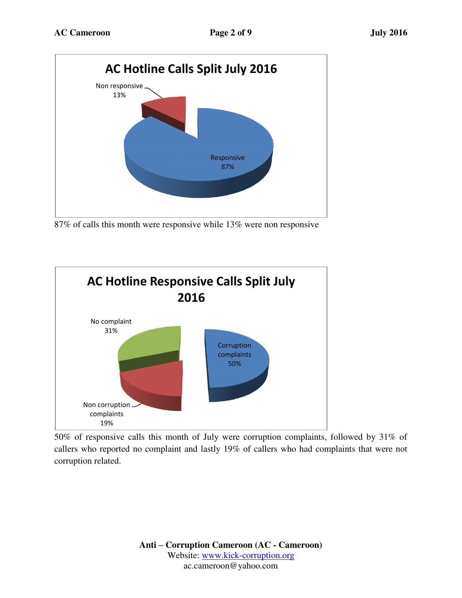

87% of calls this month were responsive while 13% were non responsive



50% of responsive calls this month of July were corruption complaints, followed by 31% of callers who reported no complaint and lastly 19% of callers who had complaints that were not corruption related.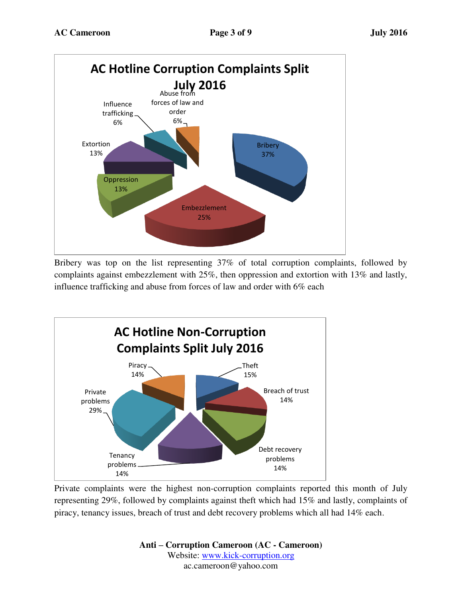

Bribery was top on the list representing 37% of total corruption complaints, followed by complaints against embezzlement with 25%, then oppression and extortion with 13% and lastly, influence trafficking and abuse from forces of law and order with 6% each



Private complaints were the highest non-corruption complaints reported this month of July representing 29%, followed by complaints against theft which had 15% and lastly, complaints of piracy, tenancy issues, breach of trust and debt recovery problems which all had 14% each.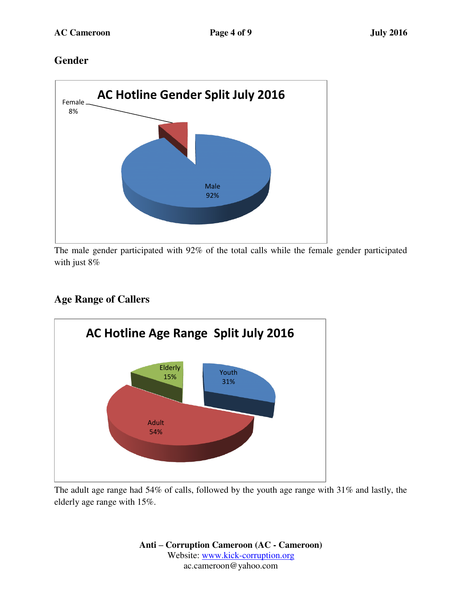## **Gender**



The male gender participated with 92% of the total calls while the female gender participated with just 8%

## **Age Range of Callers**



The adult age range had 54% of calls, followed by the youth age range with 31% and lastly, the elderly age range with 15%.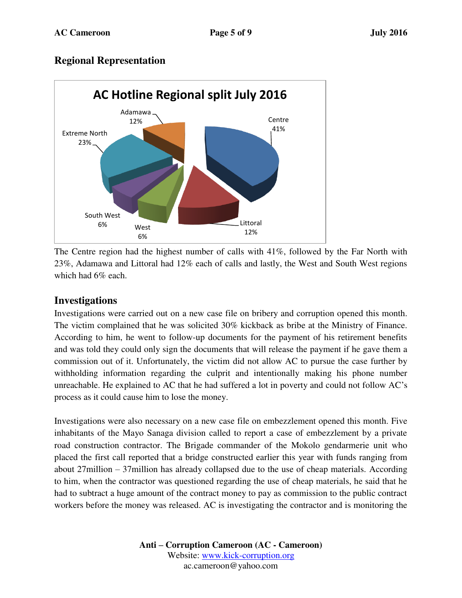#### **Regional Representation**



The Centre region had the highest number of calls with 41%, followed by the Far North with 23%, Adamawa and Littoral had 12% each of calls and lastly, the West and South West regions which had 6% each.

#### **Investigations**

Investigations were carried out on a new case file on bribery and corruption opened this month. The victim complained that he was solicited 30% kickback as bribe at the Ministry of Finance. According to him, he went to follow-up documents for the payment of his retirement benefits and was told they could only sign the documents that will release the payment if he gave them a commission out of it. Unfortunately, the victim did not allow AC to pursue the case further by withholding information regarding the culprit and intentionally making his phone number unreachable. He explained to AC that he had suffered a lot in poverty and could not follow AC's process as it could cause him to lose the money.

Investigations were also necessary on a new case file on embezzlement opened this month. Five inhabitants of the Mayo Sanaga division called to report a case of embezzlement by a private road construction contractor. The Brigade commander of the Mokolo gendarmerie unit who placed the first call reported that a bridge constructed earlier this year with funds ranging from about 27million – 37million has already collapsed due to the use of cheap materials. According to him, when the contractor was questioned regarding the use of cheap materials, he said that he had to subtract a huge amount of the contract money to pay as commission to the public contract workers before the money was released. AC is investigating the contractor and is monitoring the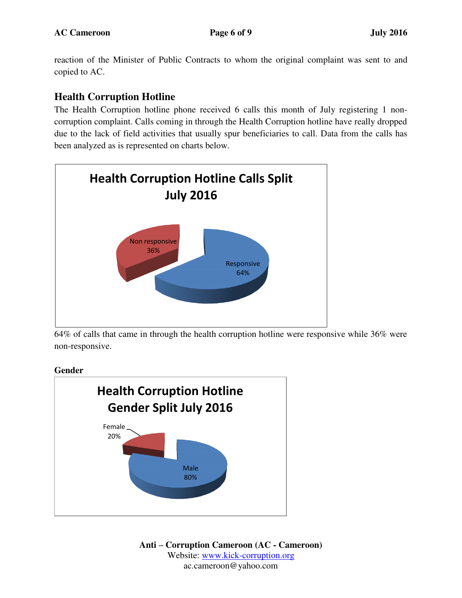reaction of the Minister of Public Contracts to whom the original complaint was sent to and copied to AC.

## **Health Corruption Hotline**

The Health Corruption hotline phone received 6 calls this month of July registering 1 noncorruption complaint. Calls coming in through the Health Corruption hotline have really dropped due to the lack of field activities that usually spur beneficiaries to call. Data from the calls has been analyzed as is represented on charts below.



64% of calls that came in through the health corruption hotline were responsive while 36% were non-responsive.

#### **Gender**

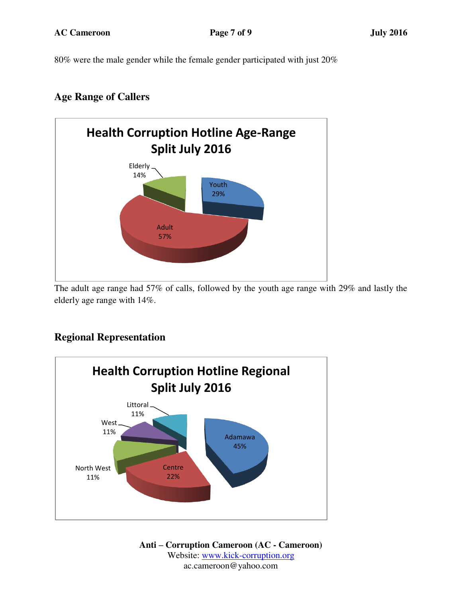80% were the male gender while the female gender participated with just 20%

## **Age Range of Callers**



The adult age range had 57% of calls, followed by the youth age range with 29% and lastly the elderly age range with 14%.

# **Regional Representation**

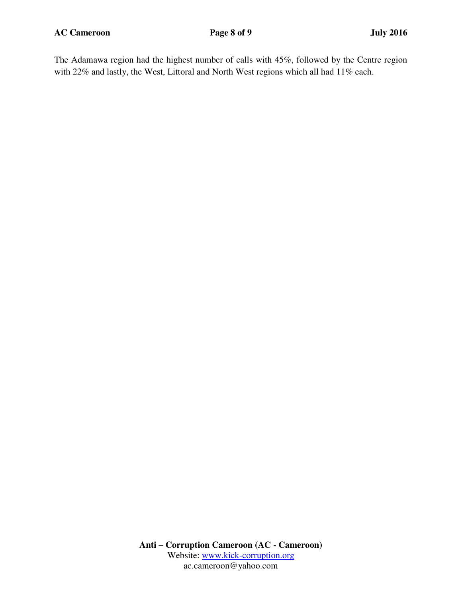**AC Cameroon Page 8 of 9 July 2016** 

The Adamawa region had the highest number of calls with 45%, followed by the Centre region with 22% and lastly, the West, Littoral and North West regions which all had 11% each.